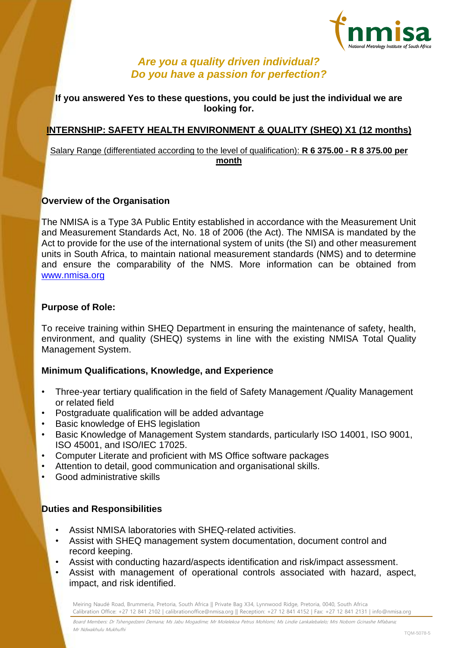

# *Are you a quality driven individual? Do you have a passion for perfection?*

### **If you answered Yes to these questions, you could be just the individual we are looking for.**

# **INTERNSHIP: SAFETY HEALTH ENVIRONMENT & QUALITY (SHEQ) X1 (12 months)**

#### Salary Range (differentiated according to the level of qualification): **R 6 375.00 - R 8 375.00 per month**

### **Overview of the Organisation**

The NMISA is a Type 3A Public Entity established in accordance with the Measurement Unit and Measurement Standards Act, No. 18 of 2006 (the Act). The NMISA is mandated by the Act to provide for the use of the international system of units (the SI) and other measurement units in South Africa, to maintain national measurement standards (NMS) and to determine and ensure the comparability of the NMS. More information can be obtained from [www.nmisa.org](http://www.nmisa.org/)

### **Purpose of Role:**

To receive training within SHEQ Department in ensuring the maintenance of safety, health, environment, and quality (SHEQ) systems in line with the existing NMISA Total Quality Management System.

#### **Minimum Qualifications, Knowledge, and Experience**

- Three-year tertiary qualification in the field of Safety Management /Quality Management or related field
- Postgraduate qualification will be added advantage
- Basic knowledge of EHS legislation
- Basic Knowledge of Management System standards, particularly ISO 14001, ISO 9001, ISO 45001, and ISO/IEC 17025.
- Computer Literate and proficient with MS Office software packages
- Attention to detail, good communication and organisational skills.
- Good administrative skills

## **Duties and Responsibilities**

- Assist NMISA laboratories with SHEQ-related activities.
- Assist with SHEQ management system documentation, document control and record keeping.
- Assist with conducting hazard/aspects identification and risk/impact assessment.
- Assist with management of operational controls associated with hazard, aspect, impact, and risk identified.

Meiring Naudé Road, Brummeria, Pretoria, South Africa || Private Bag X34, Lynnwood Ridge, Pretoria, 0040, South Africa Calibration Office: +27 12 841 2102 | calibrationoffice@nmisa.org || Reception: +27 12 841 4152 | Fax: +27 12 841 2131 | info@nmisa.org